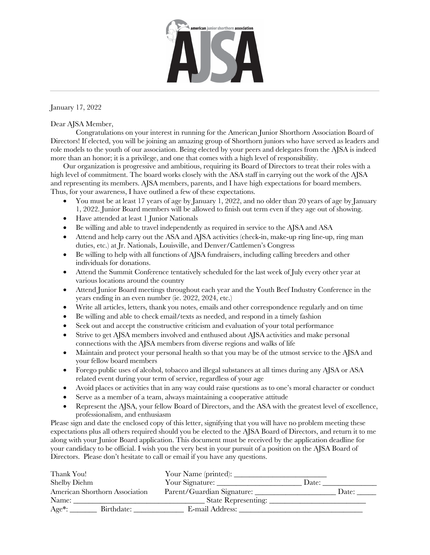

January 17, 2022

## Dear AJSA Member,

Congratulations on your interest in running for the American Junior Shorthorn Association Board of Directors! If elected, you will be joining an amazing group of Shorthorn juniors who have served as leaders and role models to the youth of our association. Being elected by your peers and delegates from the AJSA is indeed more than an honor; it is a privilege, and one that comes with a high level of responsibility.

Our organization is progressive and ambitious, requiring its Board of Directors to treat their roles with a high level of commitment. The board works closely with the ASA staff in carrying out the work of the AJSA and representing its members. AJSA members, parents, and I have high expectations for board members. Thus, for your awareness, I have outlined a few of these expectations.

- You must be at least 17 years of age by January 1, 2022, and no older than 20 years of age by January 1, 2022. Junior Board members will be allowed to finish out term even if they age out of showing.
- Have attended at least 1 Junior Nationals
- Be willing and able to travel independently as required in service to the AJSA and ASA
- Attend and help carry out the ASA and AJSA activities (check-in, make-up ring line-up, ring man duties, etc.) at Jr. Nationals, Louisville, and Denver/Cattlemen's Congress
- Be willing to help with all functions of AJSA fundraisers, including calling breeders and other individuals for donations.
- Attend the Summit Conference tentatively scheduled for the last week of July every other year at various locations around the country
- Attend Junior Board meetings throughout each year and the Youth Beef Industry Conference in the years ending in an even number (ie. 2022, 2024, etc.)
- Write all articles, letters, thank you notes, emails and other correspondence regularly and on time
- Be willing and able to check email/texts as needed, and respond in a timely fashion
- Seek out and accept the constructive criticism and evaluation of your total performance
- Strive to get AJSA members involved and enthused about AJSA activities and make personal connections with the AJSA members from diverse regions and walks of life
- Maintain and protect your personal health so that you may be of the utmost service to the AISA and your fellow board members
- Forego public uses of alcohol, tobacco and illegal substances at all times during any AJSA or ASA related event during your term of service, regardless of your age
- Avoid places or activities that in any way could raise questions as to one's moral character or conduct
- Serve as a member of a team, always maintaining a cooperative attitude
- Represent the AJSA, your fellow Board of Directors, and the ASA with the greatest level of excellence, professionalism, and enthusiasm

Please sign and date the enclosed copy of this letter, signifying that you will have no problem meeting these expectations plus all others required should you be elected to the AJSA Board of Directors, and return it to me along with your Junior Board application. This document must be received by the application deadline for your candidacy to be official. I wish you the very best in your pursuit of a position on the AJSA Board of Directors. Please don't hesitate to call or email if you have any questions.

| Thank You!                     |            |                            |       |       |
|--------------------------------|------------|----------------------------|-------|-------|
| Shelby Diehm                   |            | Your Signature:            | Date: |       |
| American Shorthorn Association |            | Parent/Guardian Signature: |       | Date: |
| Name:                          |            | State Representing:        |       |       |
| $Age*$ :                       | Birthdate: | E-mail Address:            |       |       |